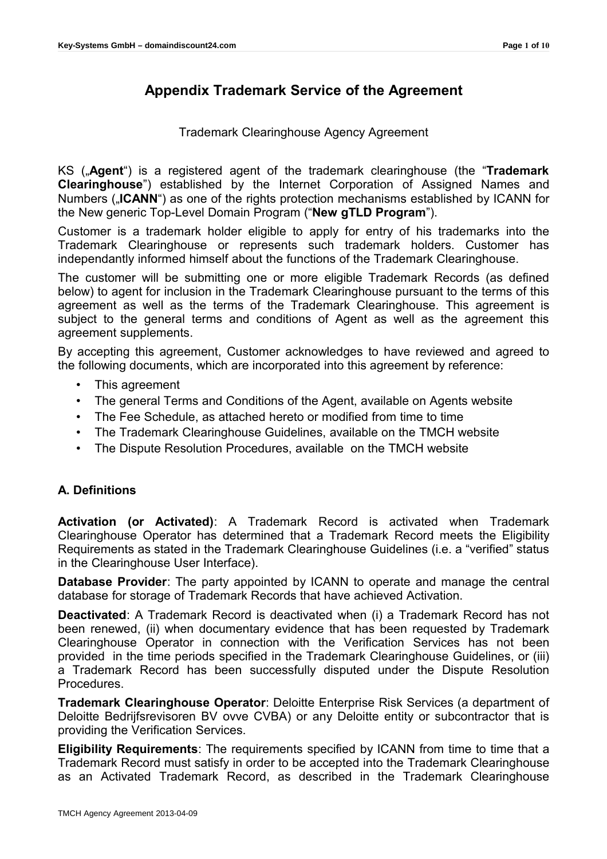# **Appendix Trademark Service of the Agreement**

### Trademark Clearinghouse Agency Agreement

KS ("**Agent**") is a registered agent of the trademark clearinghouse (the "**Trademark Clearinghouse**") established by the Internet Corporation of Assigned Names and Numbers (**"ICANN**") as one of the rights protection mechanisms established by ICANN for the New generic Top-Level Domain Program ("**New gTLD Program**").

Customer is a trademark holder eligible to apply for entry of his trademarks into the Trademark Clearinghouse or represents such trademark holders. Customer has independantly informed himself about the functions of the Trademark Clearinghouse.

The customer will be submitting one or more eligible Trademark Records (as defined below) to agent for inclusion in the Trademark Clearinghouse pursuant to the terms of this agreement as well as the terms of the Trademark Clearinghouse. This agreement is subject to the general terms and conditions of Agent as well as the agreement this agreement supplements.

By accepting this agreement, Customer acknowledges to have reviewed and agreed to the following documents, which are incorporated into this agreement by reference:

- This agreement
- The general Terms and Conditions of the Agent, available on Agents website
- The Fee Schedule, as attached hereto or modified from time to time
- The Trademark Clearinghouse Guidelines, available on the TMCH website
- The Dispute Resolution Procedures, available on the TMCH website

## **A. Definitions**

**Activation (or Activated)**: A Trademark Record is activated when Trademark Clearinghouse Operator has determined that a Trademark Record meets the Eligibility Requirements as stated in the Trademark Clearinghouse Guidelines (i.e. a "verified" status in the Clearinghouse User Interface).

**Database Provider**: The party appointed by ICANN to operate and manage the central database for storage of Trademark Records that have achieved Activation.

**Deactivated**: A Trademark Record is deactivated when (i) a Trademark Record has not been renewed, (ii) when documentary evidence that has been requested by Trademark Clearinghouse Operator in connection with the Verification Services has not been provided in the time periods specified in the Trademark Clearinghouse Guidelines, or (iii) a Trademark Record has been successfully disputed under the Dispute Resolution Procedures.

**Trademark Clearinghouse Operator**: Deloitte Enterprise Risk Services (a department of Deloitte Bedrijfsrevisoren BV ovve CVBA) or any Deloitte entity or subcontractor that is providing the Verification Services.

**Eligibility Requirements**: The requirements specified by ICANN from time to time that a Trademark Record must satisfy in order to be accepted into the Trademark Clearinghouse as an Activated Trademark Record, as described in the Trademark Clearinghouse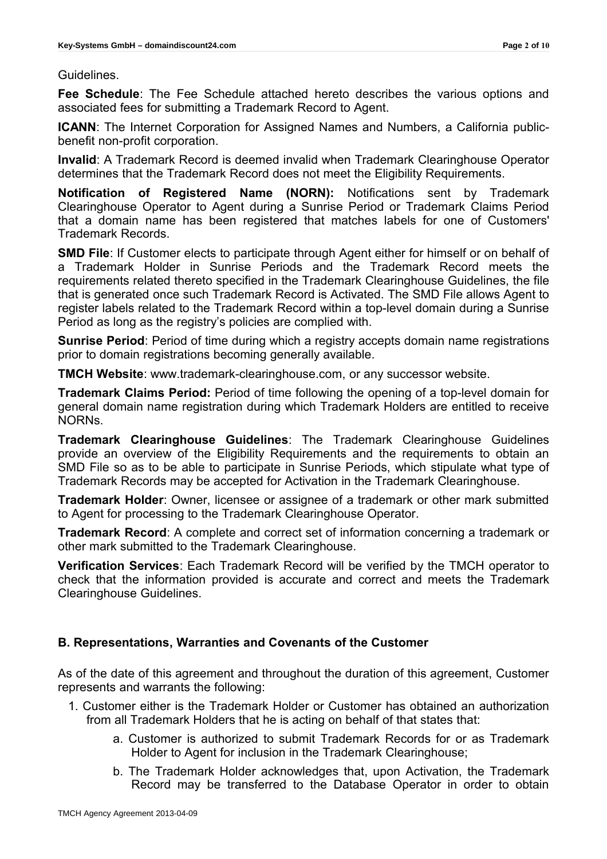### Guidelines.

**Fee Schedule**: The Fee Schedule attached hereto describes the various options and associated fees for submitting a Trademark Record to Agent.

**ICANN**: The Internet Corporation for Assigned Names and Numbers, a California publicbenefit non-profit corporation.

**Invalid**: A Trademark Record is deemed invalid when Trademark Clearinghouse Operator determines that the Trademark Record does not meet the Eligibility Requirements.

**Notification of Registered Name (NORN):** Notifications sent by Trademark Clearinghouse Operator to Agent during a Sunrise Period or Trademark Claims Period that a domain name has been registered that matches labels for one of Customers' Trademark Records.

**SMD File**: If Customer elects to participate through Agent either for himself or on behalf of a Trademark Holder in Sunrise Periods and the Trademark Record meets the requirements related thereto specified in the Trademark Clearinghouse Guidelines, the file that is generated once such Trademark Record is Activated. The SMD File allows Agent to register labels related to the Trademark Record within a top-level domain during a Sunrise Period as long as the registry's policies are complied with.

**Sunrise Period**: Period of time during which a registry accepts domain name registrations prior to domain registrations becoming generally available.

**TMCH Website**: www.trademark-clearinghouse.com, or any successor website.

**Trademark Claims Period:** Period of time following the opening of a top-level domain for general domain name registration during which Trademark Holders are entitled to receive NORNs.

**Trademark Clearinghouse Guidelines**: The Trademark Clearinghouse Guidelines provide an overview of the Eligibility Requirements and the requirements to obtain an SMD File so as to be able to participate in Sunrise Periods, which stipulate what type of Trademark Records may be accepted for Activation in the Trademark Clearinghouse.

**Trademark Holder**: Owner, licensee or assignee of a trademark or other mark submitted to Agent for processing to the Trademark Clearinghouse Operator.

**Trademark Record**: A complete and correct set of information concerning a trademark or other mark submitted to the Trademark Clearinghouse.

**Verification Services**: Each Trademark Record will be verified by the TMCH operator to check that the information provided is accurate and correct and meets the Trademark Clearinghouse Guidelines.

### **B. Representations, Warranties and Covenants of the Customer**

As of the date of this agreement and throughout the duration of this agreement, Customer represents and warrants the following:

- 1. Customer either is the Trademark Holder or Customer has obtained an authorization from all Trademark Holders that he is acting on behalf of that states that:
	- a. Customer is authorized to submit Trademark Records for or as Trademark Holder to Agent for inclusion in the Trademark Clearinghouse;
	- b. The Trademark Holder acknowledges that, upon Activation, the Trademark Record may be transferred to the Database Operator in order to obtain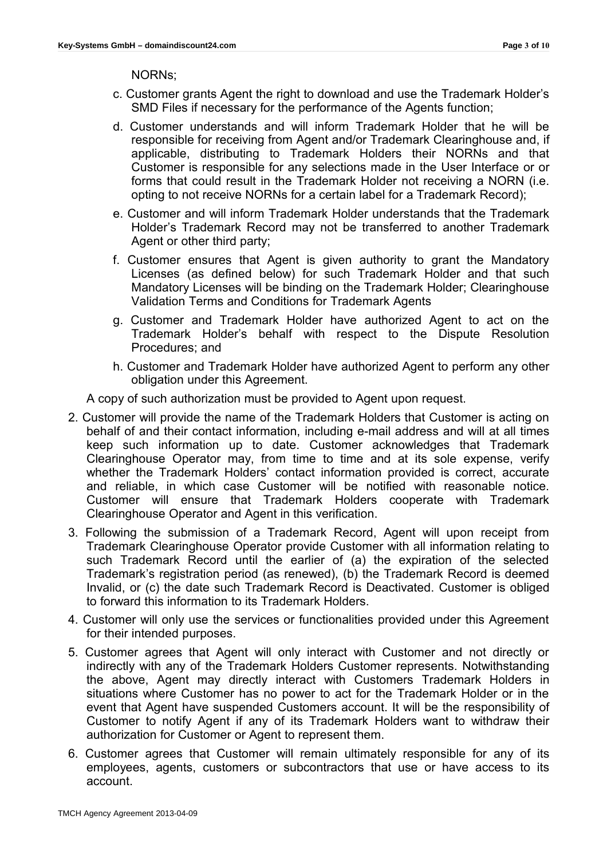NORNs;

- c. Customer grants Agent the right to download and use the Trademark Holder's SMD Files if necessary for the performance of the Agents function;
- d. Customer understands and will inform Trademark Holder that he will be responsible for receiving from Agent and/or Trademark Clearinghouse and, if applicable, distributing to Trademark Holders their NORNs and that Customer is responsible for any selections made in the User Interface or or forms that could result in the Trademark Holder not receiving a NORN (i.e. opting to not receive NORNs for a certain label for a Trademark Record);
- e. Customer and will inform Trademark Holder understands that the Trademark Holder's Trademark Record may not be transferred to another Trademark Agent or other third party;
- f. Customer ensures that Agent is given authority to grant the Mandatory Licenses (as defined below) for such Trademark Holder and that such Mandatory Licenses will be binding on the Trademark Holder; Clearinghouse Validation Terms and Conditions for Trademark Agents
- g. Customer and Trademark Holder have authorized Agent to act on the Trademark Holder's behalf with respect to the Dispute Resolution Procedures; and
- h. Customer and Trademark Holder have authorized Agent to perform any other obligation under this Agreement.

A copy of such authorization must be provided to Agent upon request.

- 2. Customer will provide the name of the Trademark Holders that Customer is acting on behalf of and their contact information, including e-mail address and will at all times keep such information up to date. Customer acknowledges that Trademark Clearinghouse Operator may, from time to time and at its sole expense, verify whether the Trademark Holders' contact information provided is correct, accurate and reliable, in which case Customer will be notified with reasonable notice. Customer will ensure that Trademark Holders cooperate with Trademark Clearinghouse Operator and Agent in this verification.
- 3. Following the submission of a Trademark Record, Agent will upon receipt from Trademark Clearinghouse Operator provide Customer with all information relating to such Trademark Record until the earlier of (a) the expiration of the selected Trademark's registration period (as renewed), (b) the Trademark Record is deemed Invalid, or (c) the date such Trademark Record is Deactivated. Customer is obliged to forward this information to its Trademark Holders.
- 4. Customer will only use the services or functionalities provided under this Agreement for their intended purposes.
- 5. Customer agrees that Agent will only interact with Customer and not directly or indirectly with any of the Trademark Holders Customer represents. Notwithstanding the above, Agent may directly interact with Customers Trademark Holders in situations where Customer has no power to act for the Trademark Holder or in the event that Agent have suspended Customers account. It will be the responsibility of Customer to notify Agent if any of its Trademark Holders want to withdraw their authorization for Customer or Agent to represent them.
- 6. Customer agrees that Customer will remain ultimately responsible for any of its employees, agents, customers or subcontractors that use or have access to its account.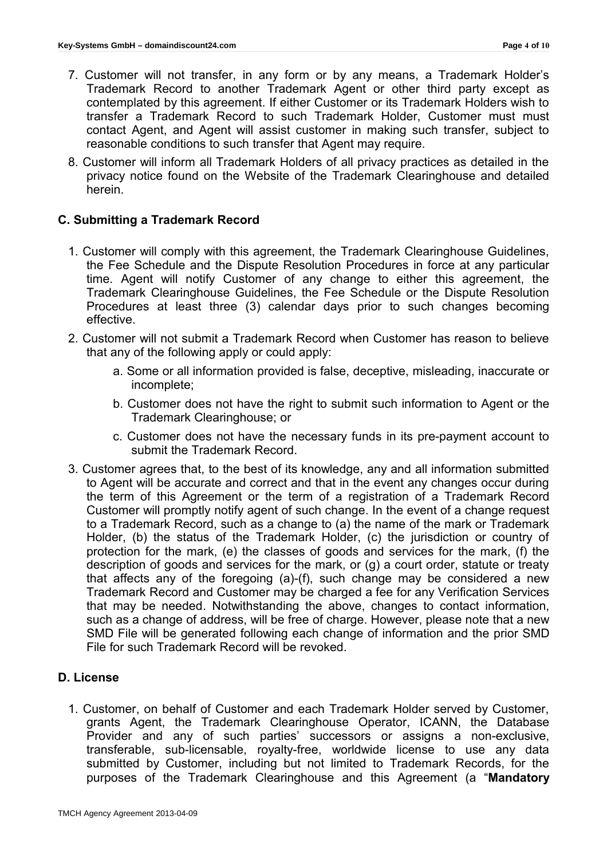- 7. Customer will not transfer, in any form or by any means, a Trademark Holder's Trademark Record to another Trademark Agent or other third party except as contemplated by this agreement. If either Customer or its Trademark Holders wish to transfer a Trademark Record to such Trademark Holder, Customer must must contact Agent, and Agent will assist customer in making such transfer, subject to reasonable conditions to such transfer that Agent may require.
- 8. Customer will inform all Trademark Holders of all privacy practices as detailed in the privacy notice found on the Website of the Trademark Clearinghouse and detailed herein.

### **C. Submitting a Trademark Record**

- 1. Customer will comply with this agreement, the Trademark Clearinghouse Guidelines, the Fee Schedule and the Dispute Resolution Procedures in force at any particular time. Agent will notify Customer of any change to either this agreement, the Trademark Clearinghouse Guidelines, the Fee Schedule or the Dispute Resolution Procedures at least three (3) calendar days prior to such changes becoming effective.
- 2. Customer will not submit a Trademark Record when Customer has reason to believe that any of the following apply or could apply:
	- a. Some or all information provided is false, deceptive, misleading, inaccurate or incomplete;
	- b. Customer does not have the right to submit such information to Agent or the Trademark Clearinghouse; or
	- c. Customer does not have the necessary funds in its pre-payment account to submit the Trademark Record.
- 3. Customer agrees that, to the best of its knowledge, any and all information submitted to Agent will be accurate and correct and that in the event any changes occur during the term of this Agreement or the term of a registration of a Trademark Record Customer will promptly notify agent of such change. In the event of a change request to a Trademark Record, such as a change to (a) the name of the mark or Trademark Holder, (b) the status of the Trademark Holder, (c) the jurisdiction or country of protection for the mark, (e) the classes of goods and services for the mark, (f) the description of goods and services for the mark, or (g) a court order, statute or treaty that affects any of the foregoing (a)-(f), such change may be considered a new Trademark Record and Customer may be charged a fee for any Verification Services that may be needed. Notwithstanding the above, changes to contact information, such as a change of address, will be free of charge. However, please note that a new SMD File will be generated following each change of information and the prior SMD File for such Trademark Record will be revoked.

### **D. License**

1. Customer, on behalf of Customer and each Trademark Holder served by Customer, grants Agent, the Trademark Clearinghouse Operator, ICANN, the Database Provider and any of such parties' successors or assigns a non-exclusive, transferable, sub-licensable, royalty-free, worldwide license to use any data submitted by Customer, including but not limited to Trademark Records, for the purposes of the Trademark Clearinghouse and this Agreement (a "**Mandatory**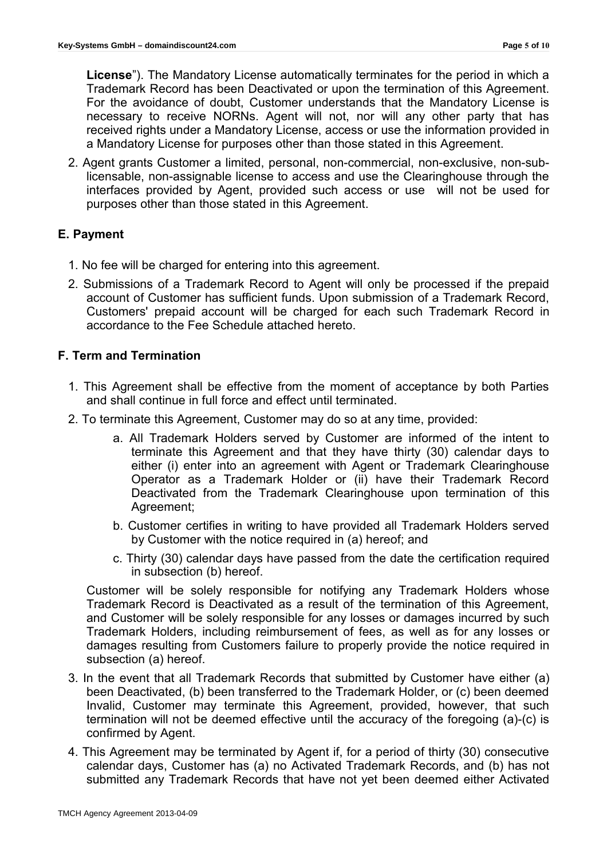**License**"). The Mandatory License automatically terminates for the period in which a Trademark Record has been Deactivated or upon the termination of this Agreement. For the avoidance of doubt, Customer understands that the Mandatory License is necessary to receive NORNs. Agent will not, nor will any other party that has received rights under a Mandatory License, access or use the information provided in a Mandatory License for purposes other than those stated in this Agreement.

2. Agent grants Customer a limited, personal, non-commercial, non-exclusive, non-sublicensable, non-assignable license to access and use the Clearinghouse through the interfaces provided by Agent, provided such access or use will not be used for purposes other than those stated in this Agreement.

## **E. Payment**

- 1. No fee will be charged for entering into this agreement.
- 2. Submissions of a Trademark Record to Agent will only be processed if the prepaid account of Customer has sufficient funds. Upon submission of a Trademark Record, Customers' prepaid account will be charged for each such Trademark Record in accordance to the Fee Schedule attached hereto.

## **F. Term and Termination**

- 1. This Agreement shall be effective from the moment of acceptance by both Parties and shall continue in full force and effect until terminated.
- 2. To terminate this Agreement, Customer may do so at any time, provided:
	- a. All Trademark Holders served by Customer are informed of the intent to terminate this Agreement and that they have thirty (30) calendar days to either (i) enter into an agreement with Agent or Trademark Clearinghouse Operator as a Trademark Holder or (ii) have their Trademark Record Deactivated from the Trademark Clearinghouse upon termination of this Agreement;
	- b. Customer certifies in writing to have provided all Trademark Holders served by Customer with the notice required in (a) hereof; and
	- c. Thirty (30) calendar days have passed from the date the certification required in subsection (b) hereof.

Customer will be solely responsible for notifying any Trademark Holders whose Trademark Record is Deactivated as a result of the termination of this Agreement, and Customer will be solely responsible for any losses or damages incurred by such Trademark Holders, including reimbursement of fees, as well as for any losses or damages resulting from Customers failure to properly provide the notice required in subsection (a) hereof.

- 3. In the event that all Trademark Records that submitted by Customer have either (a) been Deactivated, (b) been transferred to the Trademark Holder, or (c) been deemed Invalid, Customer may terminate this Agreement, provided, however, that such termination will not be deemed effective until the accuracy of the foregoing (a)-(c) is confirmed by Agent.
- 4. This Agreement may be terminated by Agent if, for a period of thirty (30) consecutive calendar days, Customer has (a) no Activated Trademark Records, and (b) has not submitted any Trademark Records that have not yet been deemed either Activated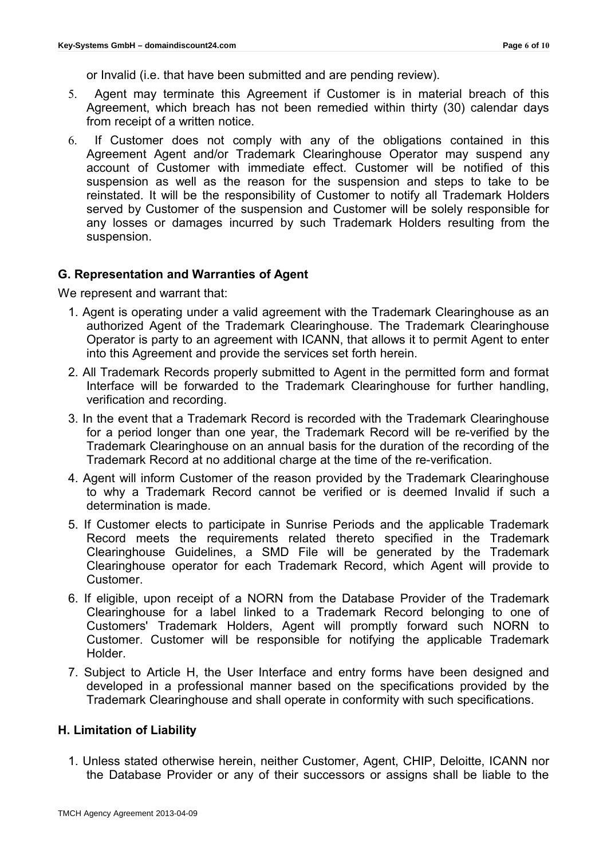or Invalid (i.e. that have been submitted and are pending review).

- 5. Agent may terminate this Agreement if Customer is in material breach of this Agreement, which breach has not been remedied within thirty (30) calendar days from receipt of a written notice.
- 6. If Customer does not comply with any of the obligations contained in this Agreement Agent and/or Trademark Clearinghouse Operator may suspend any account of Customer with immediate effect. Customer will be notified of this suspension as well as the reason for the suspension and steps to take to be reinstated. It will be the responsibility of Customer to notify all Trademark Holders served by Customer of the suspension and Customer will be solely responsible for any losses or damages incurred by such Trademark Holders resulting from the suspension.

### **G. Representation and Warranties of Agent**

We represent and warrant that:

- 1. Agent is operating under a valid agreement with the Trademark Clearinghouse as an authorized Agent of the Trademark Clearinghouse. The Trademark Clearinghouse Operator is party to an agreement with ICANN, that allows it to permit Agent to enter into this Agreement and provide the services set forth herein.
- 2. All Trademark Records properly submitted to Agent in the permitted form and format Interface will be forwarded to the Trademark Clearinghouse for further handling, verification and recording.
- 3. In the event that a Trademark Record is recorded with the Trademark Clearinghouse for a period longer than one year, the Trademark Record will be re-verified by the Trademark Clearinghouse on an annual basis for the duration of the recording of the Trademark Record at no additional charge at the time of the re-verification.
- 4. Agent will inform Customer of the reason provided by the Trademark Clearinghouse to why a Trademark Record cannot be verified or is deemed Invalid if such a determination is made.
- 5. If Customer elects to participate in Sunrise Periods and the applicable Trademark Record meets the requirements related thereto specified in the Trademark Clearinghouse Guidelines, a SMD File will be generated by the Trademark Clearinghouse operator for each Trademark Record, which Agent will provide to Customer.
- 6. If eligible, upon receipt of a NORN from the Database Provider of the Trademark Clearinghouse for a label linked to a Trademark Record belonging to one of Customers' Trademark Holders, Agent will promptly forward such NORN to Customer. Customer will be responsible for notifying the applicable Trademark Holder.
- 7. Subject to Article H, the User Interface and entry forms have been designed and developed in a professional manner based on the specifications provided by the Trademark Clearinghouse and shall operate in conformity with such specifications.

### **H. Limitation of Liability**

1. Unless stated otherwise herein, neither Customer, Agent, CHIP, Deloitte, ICANN nor the Database Provider or any of their successors or assigns shall be liable to the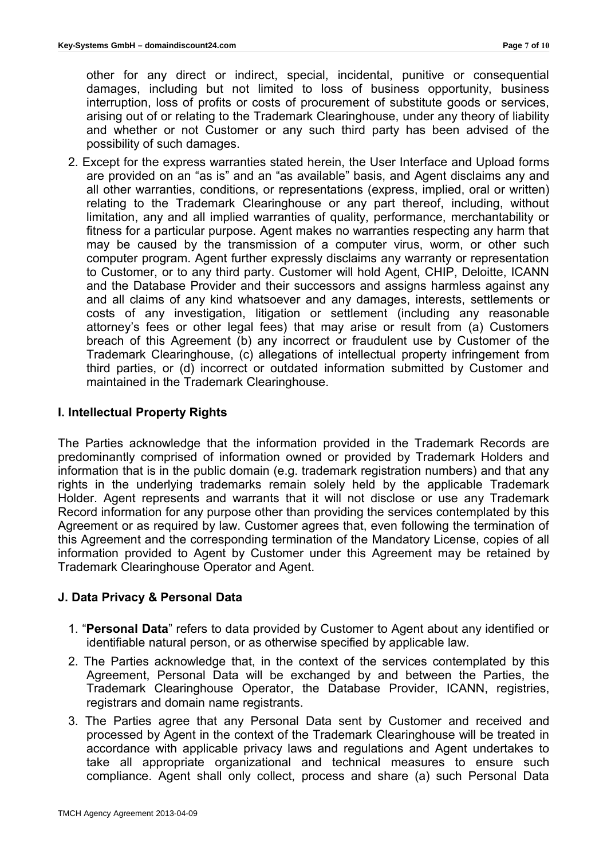other for any direct or indirect, special, incidental, punitive or consequential damages, including but not limited to loss of business opportunity, business interruption, loss of profits or costs of procurement of substitute goods or services, arising out of or relating to the Trademark Clearinghouse, under any theory of liability and whether or not Customer or any such third party has been advised of the possibility of such damages.

2. Except for the express warranties stated herein, the User Interface and Upload forms are provided on an "as is" and an "as available" basis, and Agent disclaims any and all other warranties, conditions, or representations (express, implied, oral or written) relating to the Trademark Clearinghouse or any part thereof, including, without limitation, any and all implied warranties of quality, performance, merchantability or fitness for a particular purpose. Agent makes no warranties respecting any harm that may be caused by the transmission of a computer virus, worm, or other such computer program. Agent further expressly disclaims any warranty or representation to Customer, or to any third party. Customer will hold Agent, CHIP, Deloitte, ICANN and the Database Provider and their successors and assigns harmless against any and all claims of any kind whatsoever and any damages, interests, settlements or costs of any investigation, litigation or settlement (including any reasonable attorney's fees or other legal fees) that may arise or result from (a) Customers breach of this Agreement (b) any incorrect or fraudulent use by Customer of the Trademark Clearinghouse, (c) allegations of intellectual property infringement from third parties, or (d) incorrect or outdated information submitted by Customer and maintained in the Trademark Clearinghouse.

## **I. Intellectual Property Rights**

The Parties acknowledge that the information provided in the Trademark Records are predominantly comprised of information owned or provided by Trademark Holders and information that is in the public domain (e.g. trademark registration numbers) and that any rights in the underlying trademarks remain solely held by the applicable Trademark Holder. Agent represents and warrants that it will not disclose or use any Trademark Record information for any purpose other than providing the services contemplated by this Agreement or as required by law. Customer agrees that, even following the termination of this Agreement and the corresponding termination of the Mandatory License, copies of all information provided to Agent by Customer under this Agreement may be retained by Trademark Clearinghouse Operator and Agent.

## **J. Data Privacy & Personal Data**

- 1. "**Personal Data**" refers to data provided by Customer to Agent about any identified or identifiable natural person, or as otherwise specified by applicable law.
- 2. The Parties acknowledge that, in the context of the services contemplated by this Agreement, Personal Data will be exchanged by and between the Parties, the Trademark Clearinghouse Operator, the Database Provider, ICANN, registries, registrars and domain name registrants.
- 3. The Parties agree that any Personal Data sent by Customer and received and processed by Agent in the context of the Trademark Clearinghouse will be treated in accordance with applicable privacy laws and regulations and Agent undertakes to take all appropriate organizational and technical measures to ensure such compliance. Agent shall only collect, process and share (a) such Personal Data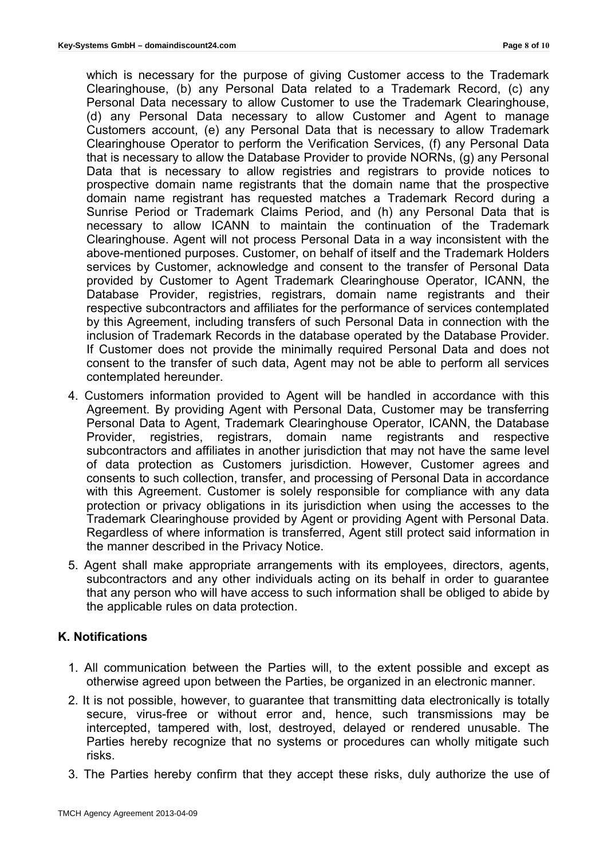which is necessary for the purpose of giving Customer access to the Trademark Clearinghouse, (b) any Personal Data related to a Trademark Record, (c) any Personal Data necessary to allow Customer to use the Trademark Clearinghouse, (d) any Personal Data necessary to allow Customer and Agent to manage Customers account, (e) any Personal Data that is necessary to allow Trademark Clearinghouse Operator to perform the Verification Services, (f) any Personal Data that is necessary to allow the Database Provider to provide NORNs, (g) any Personal Data that is necessary to allow registries and registrars to provide notices to prospective domain name registrants that the domain name that the prospective domain name registrant has requested matches a Trademark Record during a Sunrise Period or Trademark Claims Period, and (h) any Personal Data that is necessary to allow ICANN to maintain the continuation of the Trademark Clearinghouse. Agent will not process Personal Data in a way inconsistent with the above-mentioned purposes. Customer, on behalf of itself and the Trademark Holders services by Customer, acknowledge and consent to the transfer of Personal Data provided by Customer to Agent Trademark Clearinghouse Operator, ICANN, the Database Provider, registries, registrars, domain name registrants and their respective subcontractors and affiliates for the performance of services contemplated by this Agreement, including transfers of such Personal Data in connection with the inclusion of Trademark Records in the database operated by the Database Provider. If Customer does not provide the minimally required Personal Data and does not consent to the transfer of such data, Agent may not be able to perform all services contemplated hereunder.

- 4. Customers information provided to Agent will be handled in accordance with this Agreement. By providing Agent with Personal Data, Customer may be transferring Personal Data to Agent, Trademark Clearinghouse Operator, ICANN, the Database Provider, registries, registrars, domain name registrants and respective subcontractors and affiliates in another jurisdiction that may not have the same level of data protection as Customers jurisdiction. However, Customer agrees and consents to such collection, transfer, and processing of Personal Data in accordance with this Agreement. Customer is solely responsible for compliance with any data protection or privacy obligations in its jurisdiction when using the accesses to the Trademark Clearinghouse provided by Agent or providing Agent with Personal Data. Regardless of where information is transferred, Agent still protect said information in the manner described in the Privacy Notice.
- 5. Agent shall make appropriate arrangements with its employees, directors, agents, subcontractors and any other individuals acting on its behalf in order to guarantee that any person who will have access to such information shall be obliged to abide by the applicable rules on data protection.

#### **K. Notifications**

- 1. All communication between the Parties will, to the extent possible and except as otherwise agreed upon between the Parties, be organized in an electronic manner.
- 2. It is not possible, however, to guarantee that transmitting data electronically is totally secure, virus-free or without error and, hence, such transmissions may be intercepted, tampered with, lost, destroyed, delayed or rendered unusable. The Parties hereby recognize that no systems or procedures can wholly mitigate such risks.
- 3. The Parties hereby confirm that they accept these risks, duly authorize the use of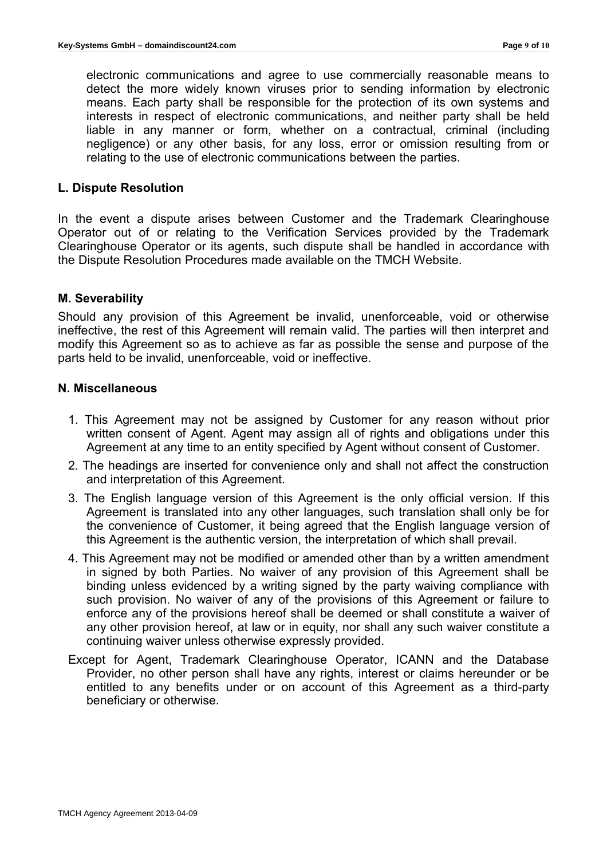electronic communications and agree to use commercially reasonable means to detect the more widely known viruses prior to sending information by electronic means. Each party shall be responsible for the protection of its own systems and interests in respect of electronic communications, and neither party shall be held liable in any manner or form, whether on a contractual, criminal (including negligence) or any other basis, for any loss, error or omission resulting from or relating to the use of electronic communications between the parties.

#### **L. Dispute Resolution**

In the event a dispute arises between Customer and the Trademark Clearinghouse Operator out of or relating to the Verification Services provided by the Trademark Clearinghouse Operator or its agents, such dispute shall be handled in accordance with the Dispute Resolution Procedures made available on the TMCH Website.

### **M. Severability**

Should any provision of this Agreement be invalid, unenforceable, void or otherwise ineffective, the rest of this Agreement will remain valid. The parties will then interpret and modify this Agreement so as to achieve as far as possible the sense and purpose of the parts held to be invalid, unenforceable, void or ineffective.

#### **N. Miscellaneous**

- 1. This Agreement may not be assigned by Customer for any reason without prior written consent of Agent. Agent may assign all of rights and obligations under this Agreement at any time to an entity specified by Agent without consent of Customer.
- 2. The headings are inserted for convenience only and shall not affect the construction and interpretation of this Agreement.
- 3. The English language version of this Agreement is the only official version. If this Agreement is translated into any other languages, such translation shall only be for the convenience of Customer, it being agreed that the English language version of this Agreement is the authentic version, the interpretation of which shall prevail.
- 4. This Agreement may not be modified or amended other than by a written amendment in signed by both Parties. No waiver of any provision of this Agreement shall be binding unless evidenced by a writing signed by the party waiving compliance with such provision. No waiver of any of the provisions of this Agreement or failure to enforce any of the provisions hereof shall be deemed or shall constitute a waiver of any other provision hereof, at law or in equity, nor shall any such waiver constitute a continuing waiver unless otherwise expressly provided.
- Except for Agent, Trademark Clearinghouse Operator, ICANN and the Database Provider, no other person shall have any rights, interest or claims hereunder or be entitled to any benefits under or on account of this Agreement as a third-party beneficiary or otherwise.